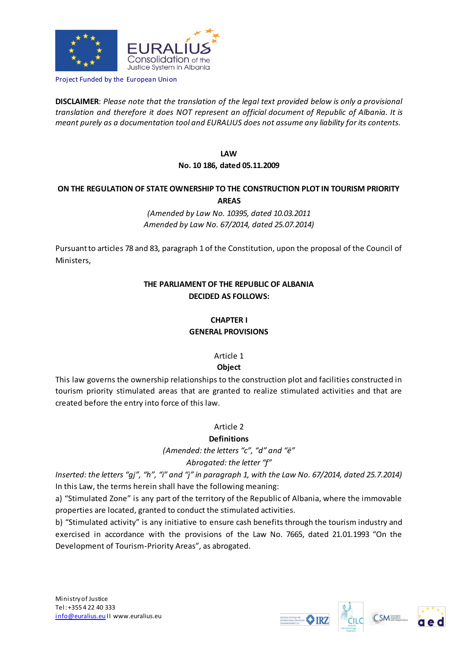

Project Funded by the European Union

**DISCLAIMER**: *Please note that the translation of the legal text provided below is only a provisional translation and therefore it does NOT represent an official document of Republic of Albania. It is meant purely as a documentation tool and EURALIUS does not assume any liability for its contents.*

> **LAW No. 10 186, dated 05.11.2009**

## **ON THE REGULATION OF STATE OWNERSHIP TO THE CONSTRUCTION PLOT IN TOURISM PRIORITY AREAS**

*(Amended by Law No. 10395, dated 10.03.2011 Amended by Law No. 67/2014, dated 25.07.2014)*

Pursuant to articles 78 and 83, paragraph 1 of the Constitution, upon the proposal of the Council of Ministers,

## **THE PARLIAMENT OF THE REPUBLIC OF ALBANIA DECIDED AS FOLLOWS:**

## **CHAPTER I GENERAL PROVISIONS**

# Article 1

## **Object**

This law governs the ownership relationships to the construction plot and facilities constructed in tourism priority stimulated areas that are granted to realize stimulated activities and that are created before the entry into force of this law.

## Article 2

## **Definitions**

*(Amended: the letters "c", "d" and "ë"* 

## *Abrogated: the letter "f"*

*Inserted: the letters "gj", "h", "i" and "j" in paragraph 1, with the Law No. 67/2014, dated 25.7.2014)*  In this Law, the terms herein shall have the following meaning:

a) "Stimulated Zone" is any part of the territory of the Republic of Albania, where the immovable properties are located, granted to conduct the stimulated activities.

b) "Stimulated activity" is any initiative to ensure cash benefits through the tourism industry and exercised in accordance with the provisions of the Law No. 7665, dated 21.01.1993 "On the Development of Tourism-Priority Areas", as abrogated.



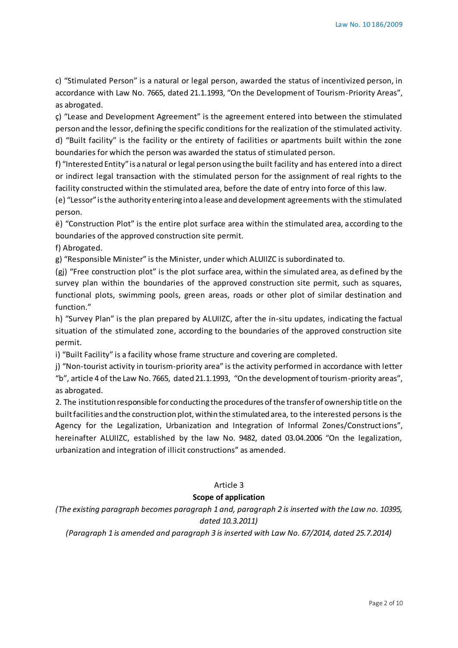c) "Stimulated Person" is a natural or legal person, awarded the status of incentivized person, in accordance with Law No. 7665, dated 21.1.1993, "On the Development of Tourism-Priority Areas", as abrogated.

ç) "Lease and Development Agreement" is the agreement entered into between the stimulated person and the lessor, defining the specific conditions for the realization of the stimulated activity. d) "Built facility" is the facility or the entirety of facilities or apartments built within the zone boundaries for which the person was awarded the status of stimulated person.

f) "Interested Entity" is a natural or legal person using the built facility and has entered into a direct or indirect legal transaction with the stimulated person for the assignment of real rights to the facility constructed within the stimulated area, before the date of entry into force of this law.

(e) "Lessor" is the authority entering into a lease and development agreements with the stimulated person.

ë) "Construction Plot" is the entire plot surface area within the stimulated area, according to the boundaries of the approved construction site permit.

f) Abrogated.

g) "Responsible Minister" is the Minister, under which ALUIIZC is subordinated to.

(gj) "Free construction plot" is the plot surface area, within the simulated area, as defined by the survey plan within the boundaries of the approved construction site permit, such as squares, functional plots, swimming pools, green areas, roads or other plot of similar destination and function."

h) "Survey Plan" is the plan prepared by ALUIIZC, after the in-situ updates, indicating the factual situation of the stimulated zone, according to the boundaries of the approved construction site permit.

i) "Built Facility" is a facility whose frame structure and covering are completed.

j) "Non-tourist activity in tourism-priority area" is the activity performed in accordance with letter "b", article 4 of the Law No. 7665, dated 21.1.1993, "On the development of tourism-priority areas", as abrogated.

2. The institution responsible for conducting the procedures of the transfer of ownership title on the built facilities and the construction plot, within the stimulated area, to the interested persons is the Agency for the Legalization, Urbanization and Integration of Informal Zones/Constructions", hereinafter ALUIIZC, established by the law No. 9482, dated 03.04.2006 "On the legalization, urbanization and integration of illicit constructions" as amended.

## Article 3

### **Scope of application**

*(The existing paragraph becomes paragraph 1 and, paragraph 2 is inserted with the Law no. 10395, dated 10.3.2011)*

*(Paragraph 1 is amended and paragraph 3 is inserted with Law No. 67/2014, dated 25.7.2014)*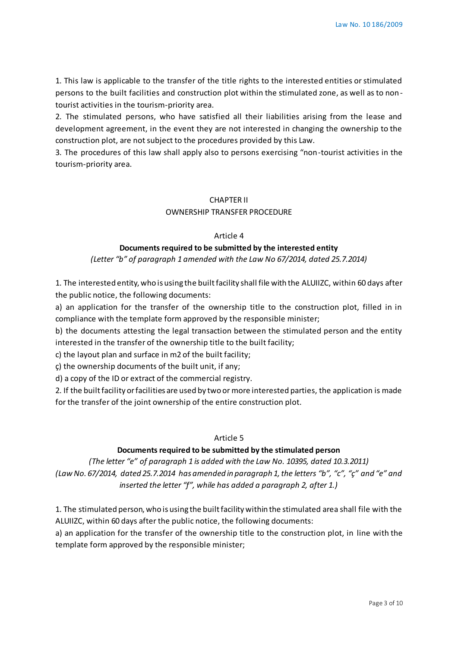1. This law is applicable to the transfer of the title rights to the interested entities or stimulated persons to the built facilities and construction plot within the stimulated zone, as well as to nontourist activities in the tourism-priority area.

2. The stimulated persons, who have satisfied all their liabilities arising from the lease and development agreement, in the event they are not interested in changing the ownership to the construction plot, are not subject to the procedures provided by this Law.

3. The procedures of this law shall apply also to persons exercising "non-tourist activities in the tourism-priority area.

## CHAPTER II

### OWNERSHIP TRANSFER PROCEDURE

#### Article 4

### **Documents required to be submitted by the interested entity**

*(Letter "b" of paragraph 1 amended with the Law No 67/2014, dated 25.7.2014)*

1. The interested entity, who is using the built facility shall file with the ALUIIZC, within 60 days after the public notice, the following documents:

a) an application for the transfer of the ownership title to the construction plot, filled in in compliance with the template form approved by the responsible minister;

b) the documents attesting the legal transaction between the stimulated person and the entity interested in the transfer of the ownership title to the built facility;

c) the layout plan and surface in m2 of the built facility;

ç) the ownership documents of the built unit, if any;

d) a copy of the ID or extract of the commercial registry.

2. If the built facility or facilities are used by two or more interested parties, the application is made for the transfer of the joint ownership of the entire construction plot.

#### Article 5

## **Documents required to be submitted by the stimulated person**

*(The letter "e" of paragraph 1 is added with the Law No. 10395, dated 10.3.2011) (Law No. 67/2014, dated 25.7.2014 has amended in paragraph 1, the letters "b", "c", "ç" and "e" and inserted the letter "f", while has added a paragraph 2, after 1.)*

1. The stimulated person, who is using the built facility within the stimulated area shall file with the ALUIIZC, within 60 days after the public notice, the following documents:

a) an application for the transfer of the ownership title to the construction plot, in line with the template form approved by the responsible minister;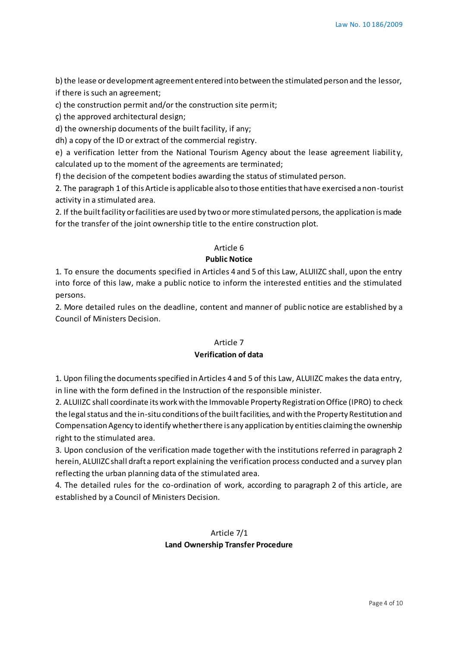b) the lease or development agreement entered into between the stimulated person and the lessor, if there is such an agreement;

c) the construction permit and/or the construction site permit;

ç) the approved architectural design;

d) the ownership documents of the built facility, if any;

dh) a copy of the ID or extract of the commercial registry.

e) a verification letter from the National Tourism Agency about the lease agreement liability, calculated up to the moment of the agreements are terminated;

f) the decision of the competent bodies awarding the status of stimulated person.

2. The paragraph 1 of this Article is applicable also to those entities that have exercised a non-tourist activity in a stimulated area.

2. If the built facility or facilities are used by two or more stimulated persons, the application is made for the transfer of the joint ownership title to the entire construction plot.

## Article 6

## **Public Notice**

1. To ensure the documents specified in Articles 4 and 5 of this Law, ALUIIZC shall, upon the entry into force of this law, make a public notice to inform the interested entities and the stimulated persons.

2. More detailed rules on the deadline, content and manner of public notice are established by a Council of Ministers Decision.

### Article 7

## **Verification of data**

1. Upon filing the documents specified in Articles 4 and 5 of this Law, ALUIIZC makes the data entry, in line with the form defined in the Instruction of the responsible minister.

2. ALUIIZC shall coordinate its work with the Immovable Property Registration Office (IPRO) to check the legal status and the in-situ conditions of the built facilities, and with the Property Restitution and Compensation Agency to identify whether there is any application by entities claiming the ownership right to the stimulated area.

3. Upon conclusion of the verification made together with the institutions referred in paragraph 2 herein, ALUIIZC shall draft a report explaining the verification process conducted and a survey plan reflecting the urban planning data of the stimulated area.

4. The detailed rules for the co-ordination of work, according to paragraph 2 of this article, are established by a Council of Ministers Decision.

## Article 7/1 **Land Ownership Transfer Procedure**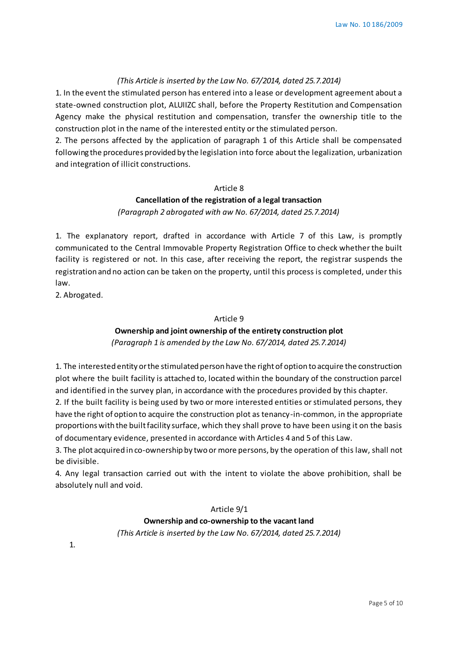### *(This Article is inserted by the Law No. 67/2014, dated 25.7.2014)*

1. In the event the stimulated person has entered into a lease or development agreement about a state-owned construction plot, ALUIIZC shall, before the Property Restitution and Compensation Agency make the physical restitution and compensation, transfer the ownership title to the construction plot in the name of the interested entity or the stimulated person.

2. The persons affected by the application of paragraph 1 of this Article shall be compensated following the procedures provided by the legislation into force about the legalization, urbanization and integration of illicit constructions.

#### Article 8

## **Cancellation of the registration of a legal transaction** *(Paragraph 2 abrogated with aw No. 67/2014, dated 25.7.2014)*

1. The explanatory report, drafted in accordance with Article 7 of this Law, is promptly communicated to the Central Immovable Property Registration Office to check whether the built facility is registered or not. In this case, after receiving the report, the registrar suspends the registration and no action can be taken on the property, until this process is completed, under this law.

2. Abrogated.

### Article 9

## **Ownership and joint ownership of the entirety construction plot**

*(Paragraph 1 is amended by the Law No. 67/2014, dated 25.7.2014)*

1. The interested entity or the stimulated person have the right of option to acquire the construction plot where the built facility is attached to, located within the boundary of the construction parcel and identified in the survey plan, in accordance with the procedures provided by this chapter.

2. If the built facility is being used by two or more interested entities or stimulated persons, they have the right of option to acquire the construction plot as tenancy-in-common, in the appropriate proportions with the built facility surface, which they shall prove to have been using it on the basis of documentary evidence, presented in accordance with Articles 4 and 5 of this Law.

3. The plot acquired in co-ownership by two or more persons, by the operation of this law, shall not be divisible.

4. Any legal transaction carried out with the intent to violate the above prohibition, shall be absolutely null and void.

#### Article 9/1

#### **Ownership and co-ownership to the vacant land**

*(This Article is inserted by the Law No. 67/2014, dated 25.7.2014)*

1.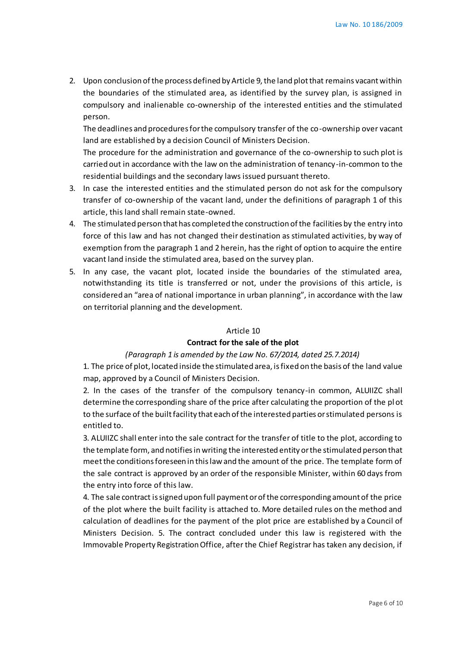2. Upon conclusion of the process defined by Article 9, the land plot that remains vacant within the boundaries of the stimulated area, as identified by the survey plan, is assigned in compulsory and inalienable co-ownership of the interested entities and the stimulated person.

The deadlines and procedures for the compulsory transfer of the co-ownership over vacant land are established by a decision Council of Ministers Decision.

The procedure for the administration and governance of the co-ownership to such plot is carried out in accordance with the law on the administration of tenancy-in-common to the residential buildings and the secondary laws issued pursuant thereto.

- 3. In case the interested entities and the stimulated person do not ask for the compulsory transfer of co-ownership of the vacant land, under the definitions of paragraph 1 of this article, this land shall remain state-owned.
- 4. The stimulated person that has completed the construction of the facilities by the entry into force of this law and has not changed their destination as stimulated activities, by way of exemption from the paragraph 1 and 2 herein, has the right of option to acquire the entire vacant land inside the stimulated area, based on the survey plan.
- 5. In any case, the vacant plot, located inside the boundaries of the stimulated area, notwithstanding its title is transferred or not, under the provisions of this article, is considered an "area of national importance in urban planning", in accordance with the law on territorial planning and the development.

#### Article 10

#### **Contract for the sale of the plot**

#### *(Paragraph 1 is amended by the Law No. 67/2014, dated 25.7.2014)*

1. The price of plot, located inside the stimulated area, is fixed on the basis of the land value map, approved by a Council of Ministers Decision.

2. In the cases of the transfer of the compulsory tenancy-in common, ALUIIZC shall determine the corresponding share of the price after calculating the proportion of the pl ot to the surface of the built facility that each of the interested parties or stimulated persons is entitled to.

3. ALUIIZC shall enter into the sale contract for the transfer of title to the plot, according to the template form, and notifies in writing the interested entity or the stimulated person that meet the conditions foreseen in this law and the amount of the price. The template form of the sale contract is approved by an order of the responsible Minister, within 60 days from the entry into force of this law.

4. The sale contract is signed upon full payment or of the corresponding amount of the price of the plot where the built facility is attached to. More detailed rules on the method and calculation of deadlines for the payment of the plot price are established by a Council of Ministers Decision. 5. The contract concluded under this law is registered with the Immovable Property Registration Office, after the Chief Registrar has taken any decision, if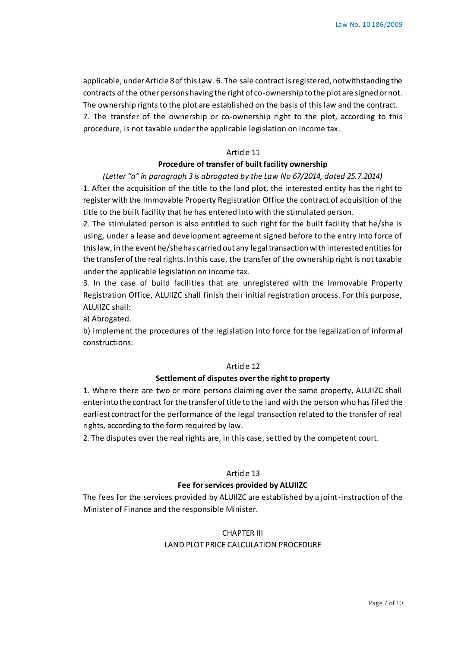applicable, under Article 8 of this Law. 6. The sale contract is registered, notwithstanding the contracts of the other persons having the right of co-ownership to the plot are signed or not. The ownership rights to the plot are established on the basis of this law and the contract. 7. The transfer of the ownership or co-ownership right to the plot, according to this procedure, is not taxable under the applicable legislation on income tax.

### Article 11

## **Procedure of transfer of built facility ownership**

*(Letter "a" in paragraph 3 is abrogated by the Law No 67/2014, dated 25.7.2014)* 1. After the acquisition of the title to the land plot, the interested entity has the right to register with the Immovable Property Registration Office the contract of acquisition of the title to the built facility that he has entered into with the stimulated person.

2. The stimulated person is also entitled to such right for the built facility that he/she is using, under a lease and development agreement signed before to the entry into force of this law, in the event he/she has carried out any legal transaction with interested entities for the transfer of the real rights. In this case, the transfer of the ownership right is not taxable under the applicable legislation on income tax.

3. In the case of build facilities that are unregistered with the Immovable Property Registration Office, ALUIIZC shall finish their initial registration process. For this purpose, ALUIIZC shall:

a) Abrogated.

b) implement the procedures of the legislation into force for the legalization of informal constructions.

#### Article 12

#### **Settlement of disputes over the right to property**

1. Where there are two or more persons claiming over the same property, ALUIIZC shall enter into the contract for the transfer of title to the land with the person who has fil ed the earliest contract for the performance of the legal transaction related to the transfer of real rights, according to the form required by law.

2. The disputes over the real rights are, in this case, settled by the competent court.

### Article 13

### **Fee for services provided by ALUIIZC**

The fees for the services provided by ALUIIZC are established by a joint-instruction of the Minister of Finance and the responsible Minister.

#### CHAPTER III

### LAND PLOT PRICE CALCULATION PROCEDURE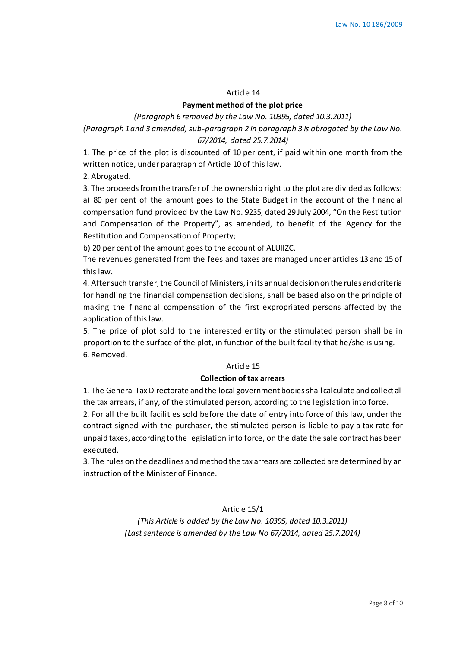#### Article 14

### **Payment method of the plot price**

*(Paragraph 6 removed by the Law No. 10395, dated 10.3.2011)*

*(Paragraph 1 and 3 amended, sub-paragraph 2 in paragraph 3 is abrogated by the Law No. 67/2014, dated 25.7.2014)* 

1. The price of the plot is discounted of 10 per cent, if paid within one month from the written notice, under paragraph of Article 10 of this law.

2. Abrogated.

3. The proceeds from the transfer of the ownership right to the plot are divided as follows: a) 80 per cent of the amount goes to the State Budget in the account of the financial compensation fund provided by the Law No. 9235, dated 29 July 2004, "On the Restitution and Compensation of the Property", as amended, to benefit of the Agency for the Restitution and Compensation of Property;

b) 20 per cent of the amount goes to the account of ALUIIZC.

The revenues generated from the fees and taxes are managed under articles 13 and 15 of this law.

4. After such transfer, the Council of Ministers, in its annual decision on the rules and criteria for handling the financial compensation decisions, shall be based also on the principle of making the financial compensation of the first expropriated persons affected by the application of this law.

5. The price of plot sold to the interested entity or the stimulated person shall be in proportion to the surface of the plot, in function of the built facility that he/she is using. 6. Removed.

#### Article 15

#### **Collection of tax arrears**

1. The General Tax Directorate and the local government bodies shall calculate and collect all the tax arrears, if any, of the stimulated person, according to the legislation into force.

2. For all the built facilities sold before the date of entry into force of this law, under the contract signed with the purchaser, the stimulated person is liable to pay a tax rate for unpaid taxes, according to the legislation into force, on the date the sale contract has been executed.

3. The rules on the deadlines and method the tax arrears are collected are determined by an instruction of the Minister of Finance.

## Article 15/1

*(This Article is added by the Law No. 10395, dated 10.3.2011) (Last sentence is amended by the Law No 67/2014, dated 25.7.2014)*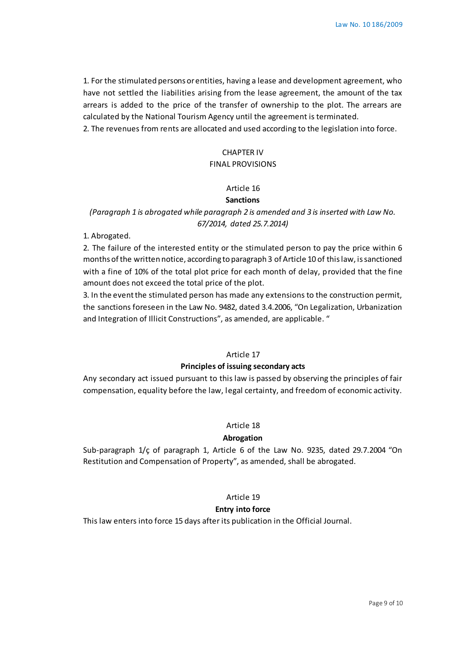1. For the stimulated persons or entities, having a lease and development agreement, who have not settled the liabilities arising from the lease agreement, the amount of the tax arrears is added to the price of the transfer of ownership to the plot. The arrears are calculated by the National Tourism Agency until the agreement is terminated.

2. The revenues from rents are allocated and used according to the legislation into force.

## CHAPTER IV FINAL PROVISIONS

# Article 16

#### **Sanctions**

## *(Paragraph 1 is abrogated while paragraph 2 is amended and 3 is inserted with Law No. 67/2014, dated 25.7.2014)*

1. Abrogated.

2. The failure of the interested entity or the stimulated person to pay the price within 6 months of the written notice, according to paragraph 3 of Article 10 of this law, is sanctioned with a fine of 10% of the total plot price for each month of delay, provided that the fine amount does not exceed the total price of the plot.

3. In the event the stimulated person has made any extensions to the construction permit, the sanctions foreseen in the Law No. 9482, dated 3.4.2006, "On Legalization, Urbanization and Integration of Illicit Constructions", as amended, are applicable. "

## Article 17

### **Principles of issuing secondary acts**

Any secondary act issued pursuant to this law is passed by observing the principles of fair compensation, equality before the law, legal certainty, and freedom of economic activity.

## Article 18

#### **Abrogation**

Sub-paragraph 1/ç of paragraph 1, Article 6 of the Law No. 9235, dated 29.7.2004 "On Restitution and Compensation of Property", as amended, shall be abrogated.

### Article 19

### **Entry into force**

This law enters into force 15 days after its publication in the Official Journal.